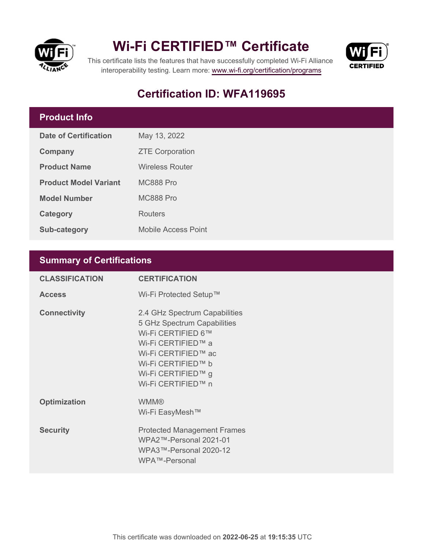



This certificate lists the features that have successfully completed Wi-Fi Alliance interoperability testing. Learn more:<www.wi-fi.org/certification/programs>

### **Certification ID: WFA119695**

#### **Product Info**

| Date of Certification        | May 13, 2022               |  |
|------------------------------|----------------------------|--|
| Company                      | <b>ZTE Corporation</b>     |  |
| <b>Product Name</b>          | <b>Wireless Router</b>     |  |
| <b>Product Model Variant</b> | MC888 Pro                  |  |
| <b>Model Number</b>          | MC888 Pro                  |  |
| Category                     | Routers                    |  |
| <b>Sub-category</b>          | <b>Mobile Access Point</b> |  |

#### **Summary of Certifications**

| <b>CLASSIFICATION</b> | <b>CERTIFICATION</b>                                                                                                                                                                              |
|-----------------------|---------------------------------------------------------------------------------------------------------------------------------------------------------------------------------------------------|
| <b>Access</b>         | Wi-Fi Protected Setup™                                                                                                                                                                            |
| <b>Connectivity</b>   | 2.4 GHz Spectrum Capabilities<br>5 GHz Spectrum Capabilities<br>Wi-Fi CERTIFIED 6™<br>Wi-Fi CERTIFIED™ a<br>Wi-Fi CERTIFIED™ ac<br>Wi-Fi CERTIFIED™ b<br>Wi-Fi CERTIFIED™ g<br>Wi-Fi CERTIFIED™ n |
| <b>Optimization</b>   | <b>WMM®</b><br>Wi-Fi EasyMesh™                                                                                                                                                                    |
| <b>Security</b>       | <b>Protected Management Frames</b><br>WPA2™-Personal 2021-01<br>WPA3™-Personal 2020-12<br>WPA™-Personal                                                                                           |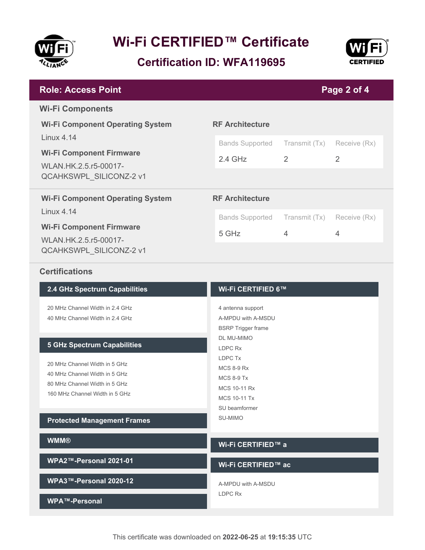

**Certification ID: WFA119695**



| <b>Role: Access Point</b><br>Page 2 of 4                                                                                                                   |                                                                      |                                 |                   |  |
|------------------------------------------------------------------------------------------------------------------------------------------------------------|----------------------------------------------------------------------|---------------------------------|-------------------|--|
| <b>Wi-Fi Components</b>                                                                                                                                    |                                                                      |                                 |                   |  |
| <b>Wi-Fi Component Operating System</b><br><b>Linux 4.14</b><br><b>Wi-Fi Component Firmware</b><br>WLAN.HK.2.5.r5-00017-<br><b>QCAHKSWPL SILICONZ-2 v1</b> | <b>RF Architecture</b><br><b>Bands Supported</b><br>$2.4$ GHz        | Transmit (Tx)<br>$\overline{2}$ | Receive (Rx)<br>2 |  |
| <b>Wi-Fi Component Operating System</b><br><b>Linux 4.14</b><br><b>Wi-Fi Component Firmware</b><br>WLAN.HK.2.5.r5-00017-<br>QCAHKSWPL_SILICONZ-2 v1        | <b>RF Architecture</b><br><b>Bands Supported</b><br>5 GHz            | Transmit (Tx)<br>4              | Receive (Rx)<br>4 |  |
| <b>Certifications</b><br>2.4 GHz Spectrum Capabilities                                                                                                     | Wi-Fi CERTIFIED 6™                                                   |                                 |                   |  |
| 20 MHz Channel Width in 2.4 GHz<br>40 MHz Channel Width in 2.4 GHz                                                                                         | 4 antenna support<br>A-MPDU with A-MSDU<br><b>BSRP</b> Trigger frame |                                 |                   |  |
| <b>5 GHz Spectrum Capabilities</b><br>20 MHz Channel Width in 5 GHz                                                                                        | DL MU-MIMO<br>LDPC Rx<br>LDPC Tx<br><b>MCS 8-9 Rx</b>                |                                 |                   |  |

40 MHz Channel Width in 5 GHz 80 MHz Channel Width in 5 GHz 160 MHz Channel Width in 5 GHz

**Protected Management Frames**

| <b>WMM®</b>            | Wi-Fi CERTIFIED™ a  |
|------------------------|---------------------|
| WPA2™-Personal 2021-01 | Wi-Fi CERTIFIED™ ac |
| WPA3™-Personal 2020-12 | A-MPDU with A-MSDU  |
| WPA™-Personal          | LDPC Rx             |

MCS 8-9 Tx MCS 10-11 Rx MCS 10-11 Tx SU beamformer SU-MIMO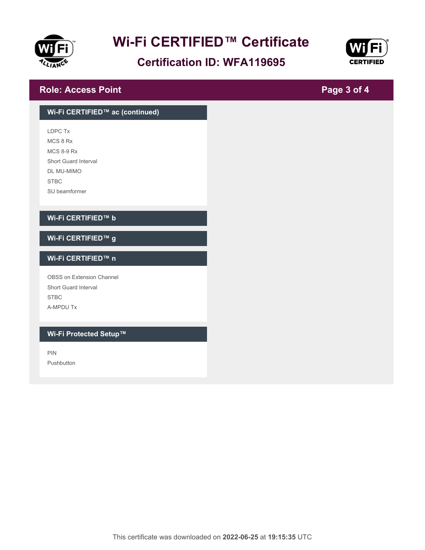

### **Certification ID: WFA119695**



**Page 3 of 4**

#### **Role: Access Point**

## **Wi-Fi CERTIFIED™ ac (continued)** LDPC Tx MCS 8 Rx MCS 8-9 Rx Short Guard Interval DL MU-MIMO STBC SU beamformer **Wi-Fi CERTIFIED™ b Wi-Fi CERTIFIED™ g Wi-Fi CERTIFIED™ n** OBSS on Extension Channel Short Guard Interval **STBC** A-MPDU Tx **Wi-Fi Protected Setup™** PIN Pushbutton